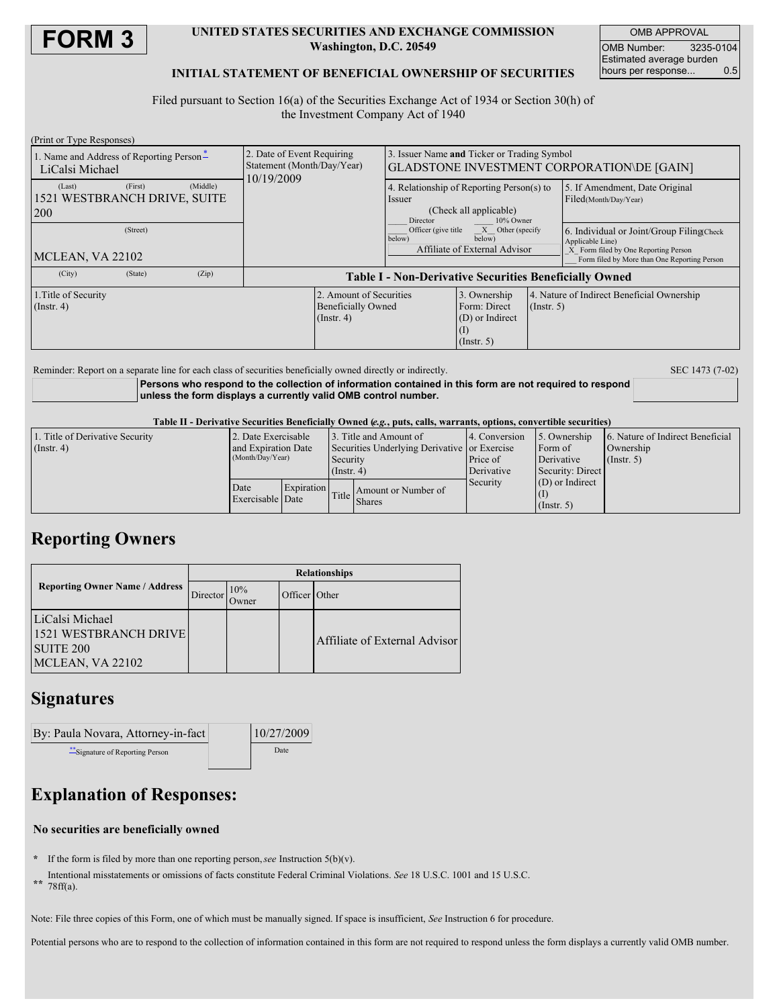

#### **UNITED STATES SECURITIES AND EXCHANGE COMMISSION Washington, D.C. 20549**

OMB APPROVAL OMB Number: 3235-0104 Estimated average burden hours per response... 0.5

## **INITIAL STATEMENT OF BENEFICIAL OWNERSHIP OF SECURITIES**

Filed pursuant to Section 16(a) of the Securities Exchange Act of 1934 or Section 30(h) of the Investment Company Act of 1940

| (Print or Type Responses)                                   |         |          |                                                                          |  |                                                                                                        |             |                                            |                                                                                                                                                       |
|-------------------------------------------------------------|---------|----------|--------------------------------------------------------------------------|--|--------------------------------------------------------------------------------------------------------|-------------|--------------------------------------------|-------------------------------------------------------------------------------------------------------------------------------------------------------|
| 1. Name and Address of Reporting Person-<br>LiCalsi Michael |         |          | 2. Date of Event Requiring<br>Statement (Month/Day/Year)<br>10/19/2009   |  | 3. Issuer Name and Ticker or Trading Symbol<br>GLADSTONE INVESTMENT CORPORATION\DE [GAIN]              |             |                                            |                                                                                                                                                       |
| (Last)<br>1521 WESTBRANCH DRIVE, SUITE<br>200               | (First) | (Middle) |                                                                          |  | 4. Relationship of Reporting Person(s) to<br>Issuer<br>(Check all applicable)<br>Director<br>10% Owner |             |                                            | 5. If Amendment, Date Original<br>Filed(Month/Day/Year)                                                                                               |
| (Street)<br>MCLEAN, VA 22102                                |         |          |                                                                          |  | X Other (specify<br>Officer (give title)<br>below)<br>below)<br>Affiliate of External Advisor          |             |                                            | 6. Individual or Joint/Group Filing Check<br>Applicable Line)<br>X Form filed by One Reporting Person<br>Form filed by More than One Reporting Person |
| (City)                                                      | (State) | (Zip)    | <b>Table I - Non-Derivative Securities Beneficially Owned</b>            |  |                                                                                                        |             |                                            |                                                                                                                                                       |
| 1. Title of Security<br>$($ Instr. 4 $)$                    |         |          | 2. Amount of Securities<br><b>Beneficially Owned</b><br>$($ Instr. 4 $)$ |  | 3. Ownership<br>Form: Direct<br>(D) or Indirect<br>$($ Instr. 5 $)$                                    | (Insert, 5) | 4. Nature of Indirect Beneficial Ownership |                                                                                                                                                       |

Reminder: Report on a separate line for each class of securities beneficially owned directly or indirectly. SEC 1473 (7-02)

**Persons who respond to the collection of information contained in this form are not required to respond unless the form displays a currently valid OMB control number.**

Table II - Derivative Securities Beneficially Owned (e.g., puts, calls, warrants, options, convertible securities)

| 1. Title of Derivative Security | 2. Date Exercisable                     |            | 13. Title and Amount of                                                   |                     | 4. Conversion | 5. Ownership      | 6. Nature of Indirect Beneficial |
|---------------------------------|-----------------------------------------|------------|---------------------------------------------------------------------------|---------------------|---------------|-------------------|----------------------------------|
| $($ Instr. 4 $)$                | and Expiration Date<br>(Month/Day/Year) |            | Securities Underlying Derivative or Exercise<br>Security<br>$($ Instr. 4) |                     |               | Form of           | Ownership                        |
|                                 |                                         |            |                                                                           |                     | Price of      | Derivative        | $($ Instr. 5 $)$                 |
|                                 |                                         |            |                                                                           |                     | Derivative    | Security: Direct  |                                  |
|                                 | Date<br>Exercisable Date                | Expiration | Title                                                                     |                     | Security      | $(D)$ or Indirect |                                  |
|                                 |                                         |            |                                                                           | Amount or Number of |               |                   |                                  |
|                                 |                                         |            |                                                                           | <b>Shares</b>       |               | (Insert, 5)       |                                  |

## **Reporting Owners**

|                                                                                      | <b>Relationships</b> |                     |               |                               |  |  |
|--------------------------------------------------------------------------------------|----------------------|---------------------|---------------|-------------------------------|--|--|
| <b>Reporting Owner Name / Address</b>                                                | Director             | 10%<br><b>Dwner</b> | Officer Other |                               |  |  |
| LiCalsi Michael<br>1521 WESTBRANCH DRIVE<br>SUITE <sub>200</sub><br>MCLEAN, VA 22102 |                      |                     |               | Affiliate of External Advisor |  |  |

## **Signatures**

| By: Paula Novara, Attorney-in-fact | 10/27/2009 |  |
|------------------------------------|------------|--|
| Signature of Reporting Person      | Date       |  |

# **Explanation of Responses:**

## **No securities are beneficially owned**

- **\*** If the form is filed by more than one reporting person,*see* Instruction 5(b)(v).
- **\*\*** Intentional misstatements or omissions of facts constitute Federal Criminal Violations. *See* 18 U.S.C. 1001 and 15 U.S.C.
- 78ff(a).

Note: File three copies of this Form, one of which must be manually signed. If space is insufficient, *See* Instruction 6 for procedure.

Potential persons who are to respond to the collection of information contained in this form are not required to respond unless the form displays a currently valid OMB number.